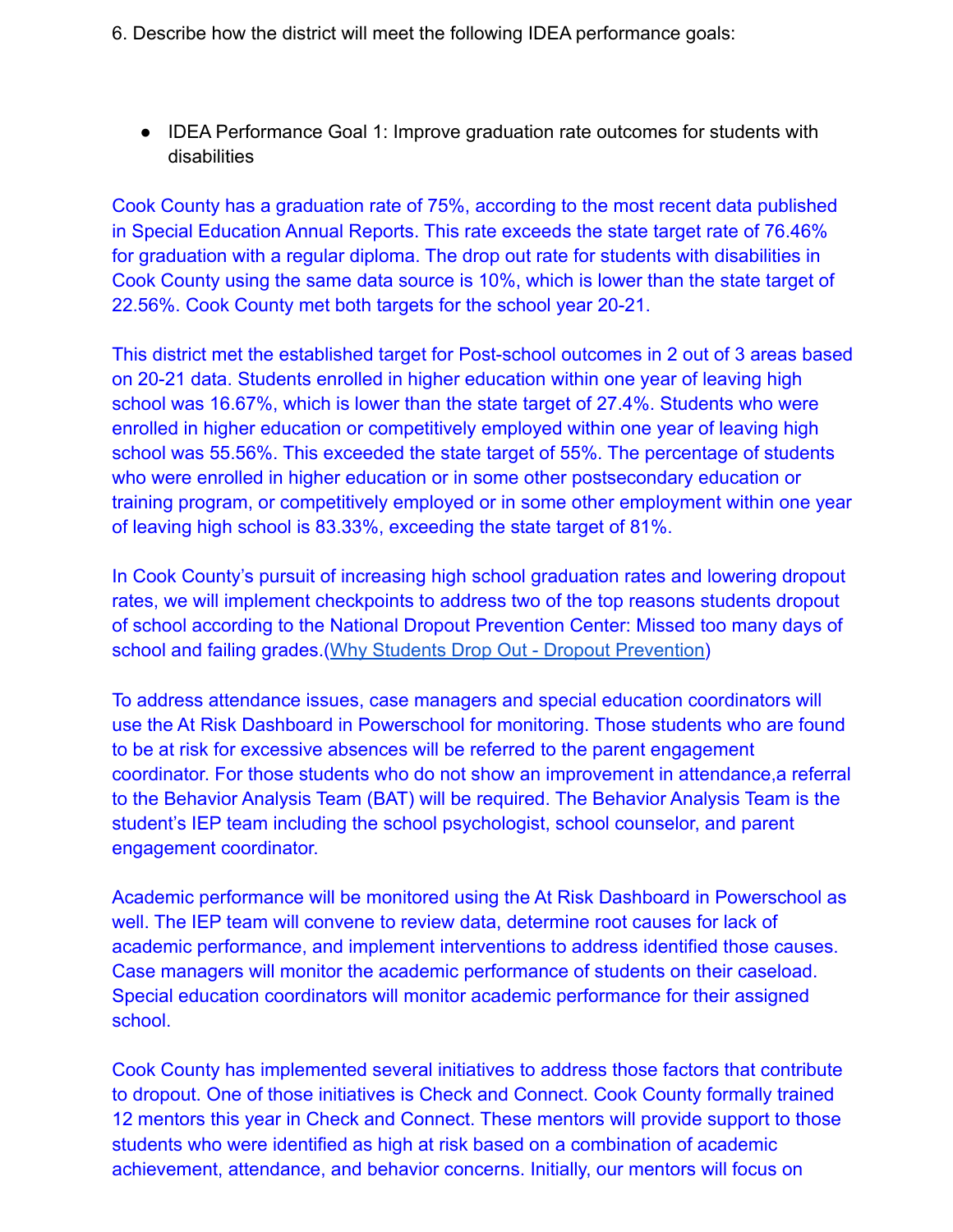- 6. Describe how the district will meet the following IDEA performance goals:
	- IDEA Performance Goal 1: Improve graduation rate outcomes for students with disabilities

Cook County has a graduation rate of 75%, according to the most recent data published in Special Education Annual Reports. This rate exceeds the state target rate of 76.46% for graduation with a regular diploma. The drop out rate for students with disabilities in Cook County using the same data source is 10%, which is lower than the state target of 22.56%. Cook County met both targets for the school year 20-21.

This district met the established target for Post-school outcomes in 2 out of 3 areas based on 20-21 data. Students enrolled in higher education within one year of leaving high school was 16.67%, which is lower than the state target of 27.4%. Students who were enrolled in higher education or competitively employed within one year of leaving high school was 55.56%. This exceeded the state target of 55%. The percentage of students who were enrolled in higher education or in some other postsecondary education or training program, or competitively employed or in some other employment within one year of leaving high school is 83.33%, exceeding the state target of 81%.

In Cook County's pursuit of increasing high school graduation rates and lowering dropout rates, we will implement checkpoints to address two of the top reasons students dropout of school according to the National Dropout Prevention Center: Missed too many days of school and failing grades.[\(Why Students Drop Out -](https://dropoutprevention.org/resources/statistics/quick-facts/why-students-drop-out/) Dropout Prevention)

To address attendance issues, case managers and special education coordinators will use the At Risk Dashboard in Powerschool for monitoring. Those students who are found to be at risk for excessive absences will be referred to the parent engagement coordinator. For those students who do not show an improvement in attendance,a referral to the Behavior Analysis Team (BAT) will be required. The Behavior Analysis Team is the student's IEP team including the school psychologist, school counselor, and parent engagement coordinator.

Academic performance will be monitored using the At Risk Dashboard in Powerschool as well. The IEP team will convene to review data, determine root causes for lack of academic performance, and implement interventions to address identified those causes. Case managers will monitor the academic performance of students on their caseload. Special education coordinators will monitor academic performance for their assigned school.

Cook County has implemented several initiatives to address those factors that contribute to dropout. One of those initiatives is Check and Connect. Cook County formally trained 12 mentors this year in Check and Connect. These mentors will provide support to those students who were identified as high at risk based on a combination of academic achievement, attendance, and behavior concerns. Initially, our mentors will focus on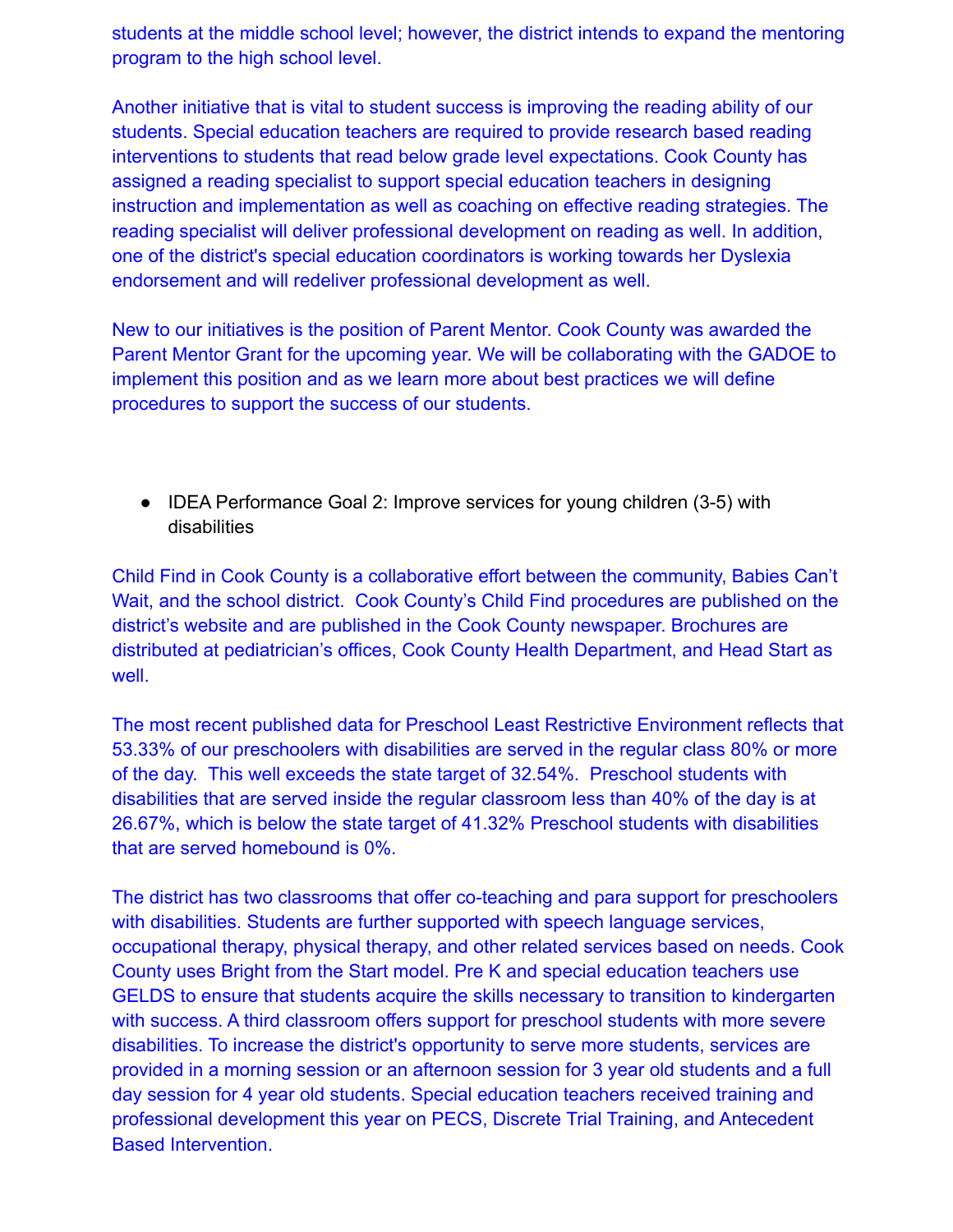students at the middle school level; however, the district intends to expand the mentoring program to the high school level.

Another initiative that is vital to student success is improving the reading ability of our students. Special education teachers are required to provide research based reading interventions to students that read below grade level expectations. Cook County has assigned a reading specialist to support special education teachers in designing instruction and implementation as well as coaching on effective reading strategies. The reading specialist will deliver professional development on reading as well. In addition, one of the district's special education coordinators is working towards her Dyslexia endorsement and will redeliver professional development as well.

New to our initiatives is the position of Parent Mentor. Cook County was awarded the Parent Mentor Grant for the upcoming year. We will be collaborating with the GADOE to implement this position and as we learn more about best practices we will define procedures to support the success of our students.

● IDEA Performance Goal 2: Improve services for young children (3-5) with disabilities

Child Find in Cook County is a collaborative effort between the community, Babies Can't Wait, and the school district. Cook County's Child Find procedures are published on the district's website and are published in the Cook County newspaper. Brochures are distributed at pediatrician's offices, Cook County Health Department, and Head Start as well.

The most recent published data for Preschool Least Restrictive Environment reflects that 53.33% of our preschoolers with disabilities are served in the regular class 80% or more of the day. This well exceeds the state target of 32.54%. Preschool students with disabilities that are served inside the regular classroom less than 40% of the day is at 26.67%, which is below the state target of 41.32% Preschool students with disabilities that are served homebound is 0%.

The district has two classrooms that offer co-teaching and para support for preschoolers with disabilities. Students are further supported with speech language services, occupational therapy, physical therapy, and other related services based on needs. Cook County uses Bright from the Start model. Pre K and special education teachers use GELDS to ensure that students acquire the skills necessary to transition to kindergarten with success. A third classroom offers support for preschool students with more severe disabilities. To increase the district's opportunity to serve more students, services are provided in a morning session or an afternoon session for 3 year old students and a full day session for 4 year old students. Special education teachers received training and professional development this year on PECS, Discrete Trial Training, and Antecedent Based Intervention.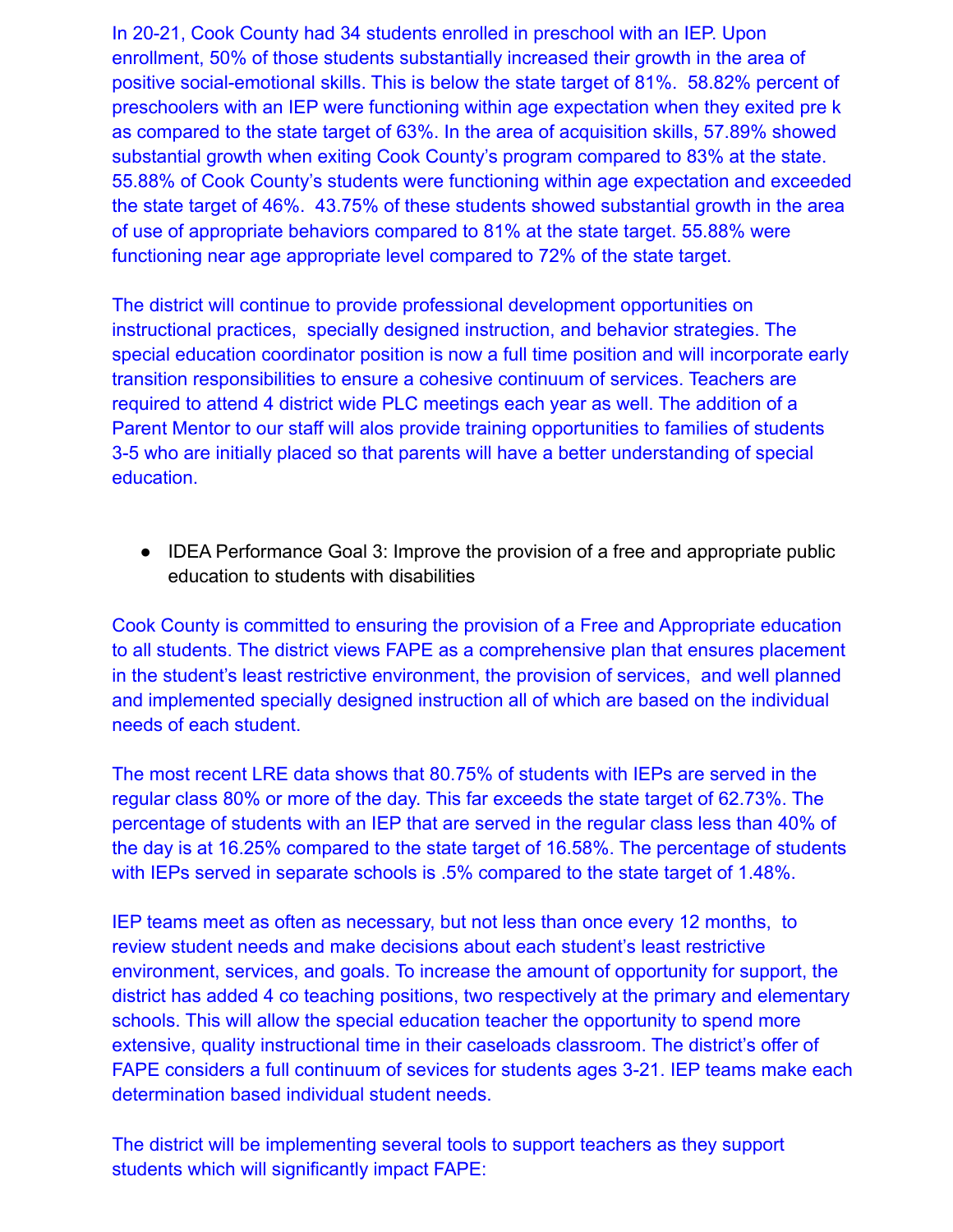In 20-21, Cook County had 34 students enrolled in preschool with an IEP. Upon enrollment, 50% of those students substantially increased their growth in the area of positive social-emotional skills. This is below the state target of 81%. 58.82% percent of preschoolers with an IEP were functioning within age expectation when they exited pre k as compared to the state target of 63%. In the area of acquisition skills, 57.89% showed substantial growth when exiting Cook County's program compared to 83% at the state. 55.88% of Cook County's students were functioning within age expectation and exceeded the state target of 46%. 43.75% of these students showed substantial growth in the area of use of appropriate behaviors compared to 81% at the state target. 55.88% were functioning near age appropriate level compared to 72% of the state target.

The district will continue to provide professional development opportunities on instructional practices, specially designed instruction, and behavior strategies. The special education coordinator position is now a full time position and will incorporate early transition responsibilities to ensure a cohesive continuum of services. Teachers are required to attend 4 district wide PLC meetings each year as well. The addition of a Parent Mentor to our staff will alos provide training opportunities to families of students 3-5 who are initially placed so that parents will have a better understanding of special education.

● IDEA Performance Goal 3: Improve the provision of a free and appropriate public education to students with disabilities

Cook County is committed to ensuring the provision of a Free and Appropriate education to all students. The district views FAPE as a comprehensive plan that ensures placement in the student's least restrictive environment, the provision of services, and well planned and implemented specially designed instruction all of which are based on the individual needs of each student.

The most recent LRE data shows that 80.75% of students with IEPs are served in the regular class 80% or more of the day. This far exceeds the state target of 62.73%. The percentage of students with an IEP that are served in the regular class less than 40% of the day is at 16.25% compared to the state target of 16.58%. The percentage of students with IEPs served in separate schools is .5% compared to the state target of 1.48%.

IEP teams meet as often as necessary, but not less than once every 12 months, to review student needs and make decisions about each student's least restrictive environment, services, and goals. To increase the amount of opportunity for support, the district has added 4 co teaching positions, two respectively at the primary and elementary schools. This will allow the special education teacher the opportunity to spend more extensive, quality instructional time in their caseloads classroom. The district's offer of FAPE considers a full continuum of sevices for students ages 3-21. IEP teams make each determination based individual student needs.

The district will be implementing several tools to support teachers as they support students which will significantly impact FAPE: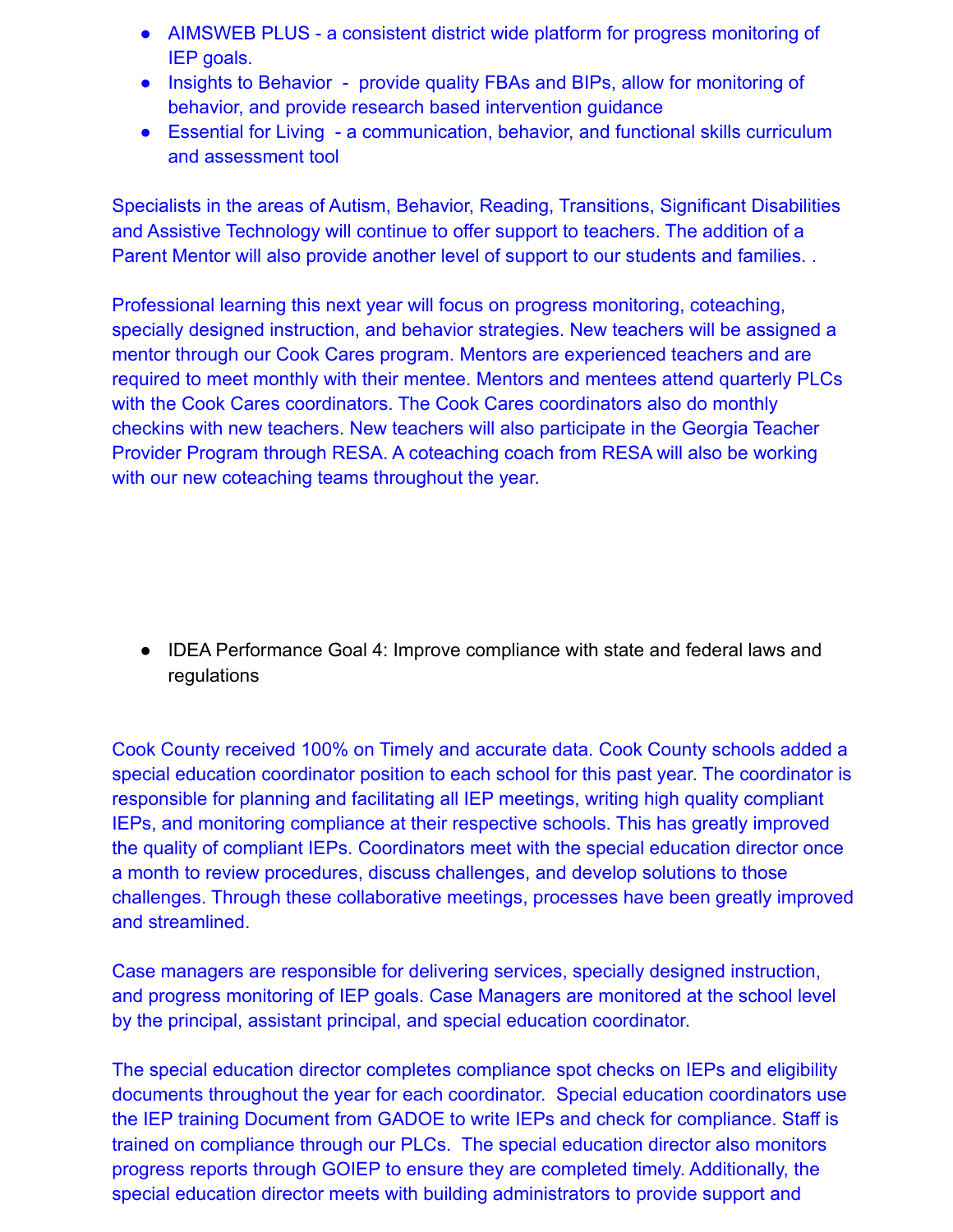- AIMSWEB PLUS a consistent district wide platform for progress monitoring of IEP goals.
- Insights to Behavior provide quality FBAs and BIPs, allow for monitoring of behavior, and provide research based intervention guidance
- Essential for Living a communication, behavior, and functional skills curriculum and assessment tool

Specialists in the areas of Autism, Behavior, Reading, Transitions, Significant Disabilities and Assistive Technology will continue to offer support to teachers. The addition of a Parent Mentor will also provide another level of support to our students and families. .

Professional learning this next year will focus on progress monitoring, coteaching, specially designed instruction, and behavior strategies. New teachers will be assigned a mentor through our Cook Cares program. Mentors are experienced teachers and are required to meet monthly with their mentee. Mentors and mentees attend quarterly PLCs with the Cook Cares coordinators. The Cook Cares coordinators also do monthly checkins with new teachers. New teachers will also participate in the Georgia Teacher Provider Program through RESA. A coteaching coach from RESA will also be working with our new coteaching teams throughout the year.

● IDEA Performance Goal 4: Improve compliance with state and federal laws and regulations

Cook County received 100% on Timely and accurate data. Cook County schools added a special education coordinator position to each school for this past year. The coordinator is responsible for planning and facilitating all IEP meetings, writing high quality compliant IEPs, and monitoring compliance at their respective schools. This has greatly improved the quality of compliant IEPs. Coordinators meet with the special education director once a month to review procedures, discuss challenges, and develop solutions to those challenges. Through these collaborative meetings, processes have been greatly improved and streamlined.

Case managers are responsible for delivering services, specially designed instruction, and progress monitoring of IEP goals. Case Managers are monitored at the school level by the principal, assistant principal, and special education coordinator.

The special education director completes compliance spot checks on IEPs and eligibility documents throughout the year for each coordinator. Special education coordinators use the IEP training Document from GADOE to write IEPs and check for compliance. Staff is trained on compliance through our PLCs. The special education director also monitors progress reports through GOIEP to ensure they are completed timely. Additionally, the special education director meets with building administrators to provide support and